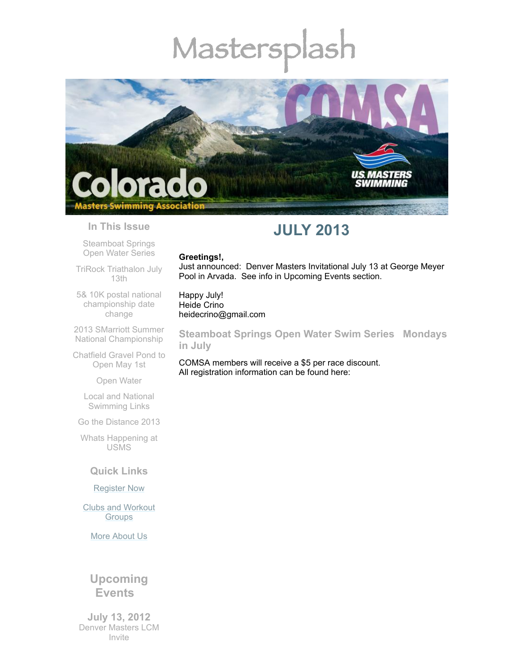# Mastersplash



#### **In This Issue**

[Steamboat](#page-0-0) Springs Open Water Series

TriRock [Triathalon](#page-1-0) July 13th

5& 10K postal national [championship](#page-1-1) date change

2013 SMarriott Summer National [Championship](#page-2-0)

[Chatfield](#page-2-1) Gravel Pond to Open May 1st

Open [Water](#page-2-2)

Local and National [Swimming](#page-3-0) Links

Go the [Distance](#page-3-1) 2013

Whats [Happening](#page-3-2) at USMS

# **Quick Links**

#### [Register](http://comsa.org/joining/index.html) Now

Clubs and [Workout](http://comsa.org/clubs/index.html) **Groups** 

More [About](http://comsa.org/) Us

# **Upcoming Events**

**July 13, 2012** Denver Masters LCM Invite

# **JULY 2013**

#### **Greetings!,**

Just announced: Denver Masters Invitational July 13 at George Meyer Pool in Arvada. See info in Upcoming Events section.

Happy July! Heide Crino heidecrino@gmail.com

<span id="page-0-0"></span>**Steamboat Springs Open Water Swim Series Mondays in July**

COMSA members will receive a \$5 per race discount. All registration information can be found here: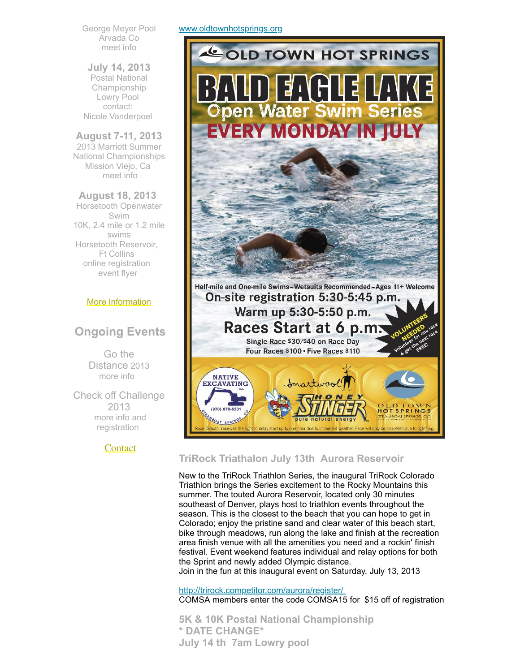George Meyer Pool Arvada Co [meet](http://www.usms.org/comp/event.php?MeetID=20130713DenLCML) info

**July 14, 2013** Postal National Championship Lowry Pool contact: Nicole [Vanderpoel](mailto:nicolevanderpoel@msn.com)

# **August 7-11, 2013**

2013 Marriott Summer National Championships Mission Viejo, Ca [meet](http://www.usms.org/comp/lcnats13/) info

**August 18, 2013** Horsetooth Openwater Swim 10K, 2.4 mile or 1.2 mile swims Horsetooth Reservoir, Ft Collins online [registration](http://www.horsetoothswim.com/) [event](http://www.comsa.org/events/2013%20openwater/HorsetoothOpenWaterSwim2013.pdf) flyer

# More [Information](http://www.comsa.org/)

# **Ongoing Events**

Go the Distance 2013 [more](http://www.usms.org/fitness/content/gothedistance) info

Check off Challenge 2013 more info and [registration](http://www.usms.org/fitness/content/checkoff)

# **[Contact](mailto:heidecrino@gmail.com?)**

#### [www.oldtownhotsprings.org](http://www.oldtownhotsprings.org/)



# <span id="page-1-0"></span>**TriRock Triathalon July 13th Aurora Reservoir**

New to the TriRock Triathlon Series, the inaugural TriRock Colorado Triathlon brings the Series excitement to the Rocky Mountains this summer. The touted Aurora Reservoir, located only 30 minutes southeast of Denver, plays host to triathlon events throughout the season. This is the closest to the beach that you can hope to get in Colorado; enjoy the pristine sand and clear water of this beach start, bike through meadows, run along the lake and finish at the recreation area finish venue with all the amenities you need and a rockin' finish festival. Event weekend features individual and relay options for both the Sprint and newly added Olympic distance. Join in the fun at this inaugural event on Saturday, July 13, 2013

<http://trirock.competitor.com/aurora/register/> COMSA members enter the code COMSA15 for \$15 off of registration

<span id="page-1-1"></span>**5K & 10K Postal National Championship \* DATE CHANGE\* July 14 th 7am Lowry pool**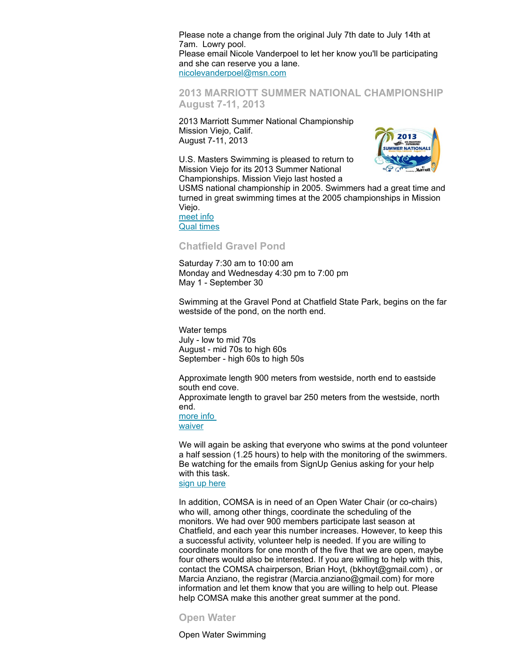Please note a change from the original July 7th date to July 14th at 7am. Lowry pool.

Please email Nicole Vanderpoel to let her know you'll be participating and she can reserve you a lane. [nicolevanderpoel@msn.com](mailto:nicolevanderpoel@msn.com)

# <span id="page-2-0"></span>**2013 MARRIOTT SUMMER NATIONAL CHAMPIONSHIP August 7-11, 2013**

2013 Marriott Summer National Championship Mission Viejo, Calif. August 7-11, 2013

U.S. Masters Swimming is pleased to return to Mission Viejo for its 2013 Summer National Championships. Mission Viejo last hosted a



USMS national championship in 2005. Swimmers had a great time and turned in great swimming times at the 2005 championships in Mission Viejo.

[meet](http://www.usms.org/comp/lcnats13/) info Qual [times](http://www.usms.org/comp/lcnats13/nqt.pdf)

# <span id="page-2-1"></span>**Chatfield Gravel Pond**

Saturday 7:30 am to 10:00 am Monday and Wednesday 4:30 pm to 7:00 pm May 1 - September 30

Swimming at the Gravel Pond at Chatfield State Park, begins on the far westside of the pond, on the north end.

Water temps July - low to mid 70s August - mid 70s to high 60s September - high 60s to high 50s

Approximate length 900 meters from westside, north end to eastside south end cove. Approximate length to gravel bar 250 meters from the westside, north end.

[more](http://www.comsa.org/openwater.html) info [waiver](http://www.comsa.org/events/2013%20openwater/2013%20Chatfield%20Waiver%20Paper.pdf)

We will again be asking that everyone who swims at the pond volunteer a half session (1.25 hours) to help with the monitoring of the swimmers. Be watching for the emails from SignUp Genius asking for your help with this task.

sign up [here](http://www.signupgenius.com/go/20F044AACAE2BA20-monitors9)

In addition, COMSA is in need of an Open Water Chair (or co-chairs) who will, among other things, coordinate the scheduling of the monitors. We had over 900 members participate last season at Chatfield, and each year this number increases. However, to keep this a successful activity, volunteer help is needed. If you are willing to coordinate monitors for one month of the five that we are open, maybe four others would also be interested. If you are willing to help with this, contact the COMSA chairperson, Brian Hoyt, (bkhoyt@gmail.com) , or Marcia Anziano, the registrar (Marcia.anziano@gmail.com) for more information and let them know that you are willing to help out. Please help COMSA make this another great summer at the pond.

#### <span id="page-2-2"></span>**Open Water**

Open Water Swimming